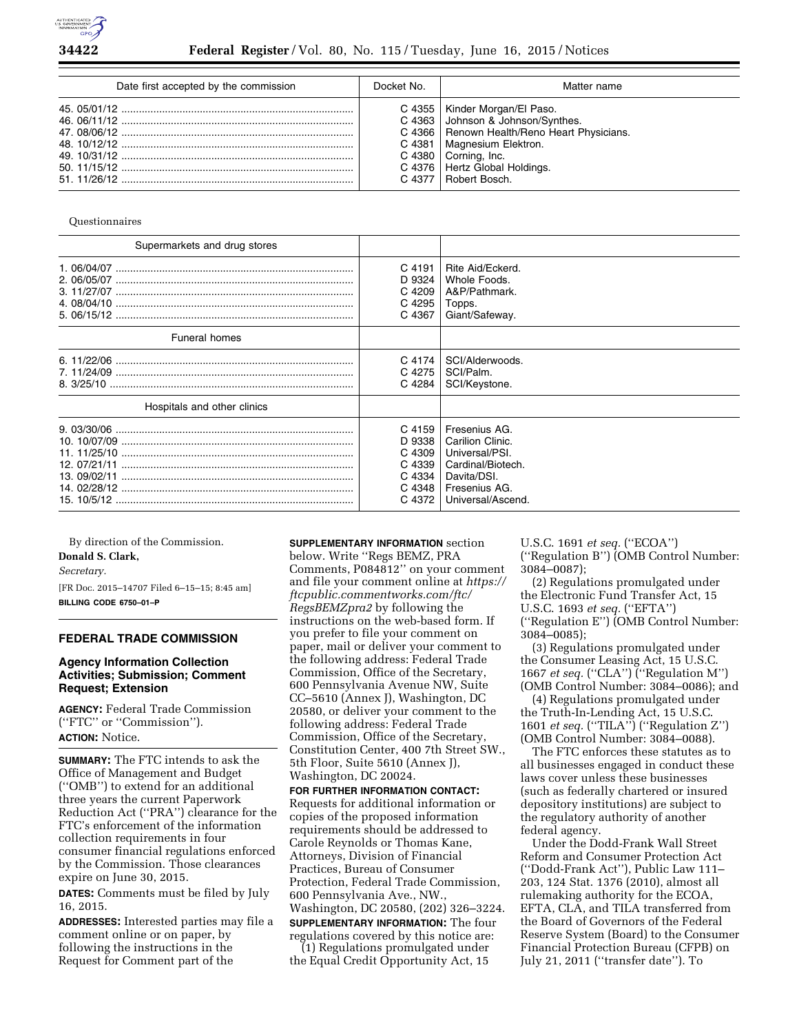

| Date first accepted by the commission | Docket No. | Matter name                                                                                                                                                                                                                                  |
|---------------------------------------|------------|----------------------------------------------------------------------------------------------------------------------------------------------------------------------------------------------------------------------------------------------|
|                                       |            | C 4355   Kinder Morgan/El Paso.<br>C 4363 Johnson & Johnson/Synthes.<br>C 4366   Renown Health/Reno Heart Physicians.<br>C 4381   Magnesium Elektron.<br>$C$ 4380 Corning, Inc.<br>C 4376   Hertz Global Holdings.<br>C 4377   Robert Bosch. |

Questionnaires

| Supermarkets and drug stores |        |                   |
|------------------------------|--------|-------------------|
|                              | C 4191 | Rite Aid/Eckerd.  |
|                              | D 9324 | Whole Foods.      |
|                              | C 4209 | A&P/Pathmark.     |
|                              | C 4295 | Topps.            |
|                              | C 4367 | Giant/Safeway.    |
| <b>Funeral homes</b>         |        |                   |
|                              | C 4174 | SCI/Alderwoods.   |
|                              | C 4275 | SCI/Palm.         |
|                              | C 4284 | SCI/Keystone.     |
| Hospitals and other clinics  |        |                   |
|                              | C 4159 | Fresenius AG.     |
|                              | D 9338 | Carilion Clinic.  |
|                              | C 4309 | Universal/PSI.    |
|                              | C 4339 | Cardinal/Biotech. |
|                              | C 4334 | Davita/DSI.       |
|                              | C 4348 | Fresenius AG.     |
|                              | C 4372 | Universal/Ascend. |

By direction of the Commission. **Donald S. Clark,**  *Secretary.* 

[FR Doc. 2015–14707 Filed 6–15–15; 8:45 am]

**BILLING CODE 6750–01–P** 

## **FEDERAL TRADE COMMISSION**

## **Agency Information Collection Activities; Submission; Comment Request; Extension**

**AGENCY:** Federal Trade Commission (''FTC'' or ''Commission''). **ACTION:** Notice.

**SUMMARY:** The FTC intends to ask the Office of Management and Budget (''OMB'') to extend for an additional three years the current Paperwork Reduction Act (''PRA'') clearance for the FTC's enforcement of the information collection requirements in four consumer financial regulations enforced by the Commission. Those clearances expire on June 30, 2015.

**DATES:** Comments must be filed by July 16, 2015.

**ADDRESSES:** Interested parties may file a comment online or on paper, by following the instructions in the Request for Comment part of the

# **SUPPLEMENTARY INFORMATION** section

below. Write ''Regs BEMZ, PRA Comments, P084812'' on your comment and file your comment online at *[https://](https://ftcpublic.commentworks.com/ftc/RegsBEMZpra2)  [ftcpublic.commentworks.com/ftc/](https://ftcpublic.commentworks.com/ftc/RegsBEMZpra2)  [RegsBEMZpra2](https://ftcpublic.commentworks.com/ftc/RegsBEMZpra2)* by following the instructions on the web-based form. If you prefer to file your comment on paper, mail or deliver your comment to the following address: Federal Trade Commission, Office of the Secretary, 600 Pennsylvania Avenue NW, Suite CC–5610 (Annex J), Washington, DC 20580, or deliver your comment to the following address: Federal Trade Commission, Office of the Secretary, Constitution Center, 400 7th Street SW., 5th Floor, Suite 5610 (Annex J), Washington, DC 20024.

**FOR FURTHER INFORMATION CONTACT:**  Requests for additional information or copies of the proposed information requirements should be addressed to Carole Reynolds or Thomas Kane, Attorneys, Division of Financial Practices, Bureau of Consumer Protection, Federal Trade Commission, 600 Pennsylvania Ave., NW., Washington, DC 20580, (202) 326–3224.

**SUPPLEMENTARY INFORMATION:** The four regulations covered by this notice are:

(1) Regulations promulgated under the Equal Credit Opportunity Act, 15 U.S.C. 1691 *et seq.* (''ECOA'') (''Regulation B'') (OMB Control Number: 3084–0087);

(2) Regulations promulgated under the Electronic Fund Transfer Act, 15 U.S.C. 1693 *et seq.* (''EFTA'') (''Regulation E'') (OMB Control Number: 3084–0085);

(3) Regulations promulgated under the Consumer Leasing Act, 15 U.S.C. 1667 *et seq.* (''CLA'') (''Regulation M'') (OMB Control Number: 3084–0086); and

(4) Regulations promulgated under the Truth-In-Lending Act, 15 U.S.C. 1601 *et seq.* (''TILA'') (''Regulation Z'') (OMB Control Number: 3084–0088).

The FTC enforces these statutes as to all businesses engaged in conduct these laws cover unless these businesses (such as federally chartered or insured depository institutions) are subject to the regulatory authority of another federal agency.

Under the Dodd-Frank Wall Street Reform and Consumer Protection Act (''Dodd-Frank Act''), Public Law 111– 203, 124 Stat. 1376 (2010), almost all rulemaking authority for the ECOA, EFTA, CLA, and TILA transferred from the Board of Governors of the Federal Reserve System (Board) to the Consumer Financial Protection Bureau (CFPB) on July 21, 2011 (''transfer date''). To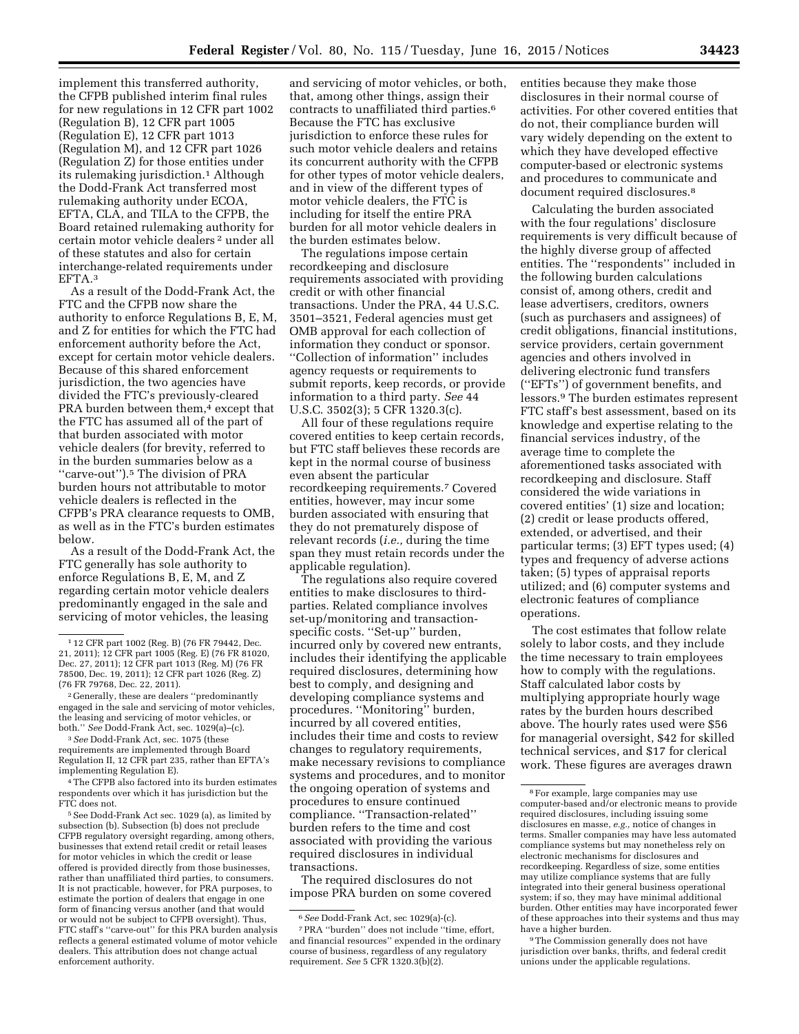implement this transferred authority, the CFPB published interim final rules for new regulations in 12 CFR part 1002 (Regulation B), 12 CFR part 1005 (Regulation E), 12 CFR part 1013 (Regulation M), and 12 CFR part 1026 (Regulation Z) for those entities under its rulemaking jurisdiction.1 Although the Dodd-Frank Act transferred most rulemaking authority under ECOA, EFTA, CLA, and TILA to the CFPB, the Board retained rulemaking authority for certain motor vehicle dealers 2 under all of these statutes and also for certain interchange-related requirements under EFTA.3

As a result of the Dodd-Frank Act, the FTC and the CFPB now share the authority to enforce Regulations B, E, M, and Z for entities for which the FTC had enforcement authority before the Act, except for certain motor vehicle dealers. Because of this shared enforcement jurisdiction, the two agencies have divided the FTC's previously-cleared PRA burden between them,<sup>4</sup> except that the FTC has assumed all of the part of that burden associated with motor vehicle dealers (for brevity, referred to in the burden summaries below as a "carve-out").<sup>5</sup> The division of PRA burden hours not attributable to motor vehicle dealers is reflected in the CFPB's PRA clearance requests to OMB, as well as in the FTC's burden estimates below.

As a result of the Dodd-Frank Act, the FTC generally has sole authority to enforce Regulations B, E, M, and Z regarding certain motor vehicle dealers predominantly engaged in the sale and servicing of motor vehicles, the leasing

5See Dodd-Frank Act sec. 1029 (a), as limited by subsection (b). Subsection (b) does not preclude CFPB regulatory oversight regarding, among others, businesses that extend retail credit or retail leases for motor vehicles in which the credit or lease offered is provided directly from those businesses, rather than unaffiliated third parties, to consumers. It is not practicable, however, for PRA purposes, to estimate the portion of dealers that engage in one form of financing versus another (and that would or would not be subject to CFPB oversight). Thus, FTC staff's ''carve-out'' for this PRA burden analysis reflects a general estimated volume of motor vehicle dealers. This attribution does not change actual enforcement authority.

and servicing of motor vehicles, or both, that, among other things, assign their contracts to unaffiliated third parties.6 Because the FTC has exclusive jurisdiction to enforce these rules for such motor vehicle dealers and retains its concurrent authority with the CFPB for other types of motor vehicle dealers, and in view of the different types of motor vehicle dealers, the FTC is including for itself the entire PRA burden for all motor vehicle dealers in the burden estimates below.

The regulations impose certain recordkeeping and disclosure requirements associated with providing credit or with other financial transactions. Under the PRA, 44 U.S.C. 3501–3521, Federal agencies must get OMB approval for each collection of information they conduct or sponsor. ''Collection of information'' includes agency requests or requirements to submit reports, keep records, or provide information to a third party. *See* 44 U.S.C. 3502(3); 5 CFR 1320.3(c).

All four of these regulations require covered entities to keep certain records, but FTC staff believes these records are kept in the normal course of business even absent the particular recordkeeping requirements.7 Covered entities, however, may incur some burden associated with ensuring that they do not prematurely dispose of relevant records (*i.e.,* during the time span they must retain records under the applicable regulation).

The regulations also require covered entities to make disclosures to thirdparties. Related compliance involves set-up/monitoring and transactionspecific costs. ''Set-up'' burden, incurred only by covered new entrants, includes their identifying the applicable required disclosures, determining how best to comply, and designing and developing compliance systems and procedures. ''Monitoring'' burden, incurred by all covered entities, includes their time and costs to review changes to regulatory requirements, make necessary revisions to compliance systems and procedures, and to monitor the ongoing operation of systems and procedures to ensure continued compliance. ''Transaction-related'' burden refers to the time and cost associated with providing the various required disclosures in individual transactions.

The required disclosures do not impose PRA burden on some covered entities because they make those disclosures in their normal course of activities. For other covered entities that do not, their compliance burden will vary widely depending on the extent to which they have developed effective computer-based or electronic systems and procedures to communicate and document required disclosures.<sup>8</sup>

Calculating the burden associated with the four regulations' disclosure requirements is very difficult because of the highly diverse group of affected entities. The ''respondents'' included in the following burden calculations consist of, among others, credit and lease advertisers, creditors, owners (such as purchasers and assignees) of credit obligations, financial institutions, service providers, certain government agencies and others involved in delivering electronic fund transfers (''EFTs'') of government benefits, and lessors.9 The burden estimates represent FTC staff's best assessment, based on its knowledge and expertise relating to the financial services industry, of the average time to complete the aforementioned tasks associated with recordkeeping and disclosure. Staff considered the wide variations in covered entities' (1) size and location; (2) credit or lease products offered, extended, or advertised, and their particular terms; (3) EFT types used; (4) types and frequency of adverse actions taken; (5) types of appraisal reports utilized; and (6) computer systems and electronic features of compliance operations.

The cost estimates that follow relate solely to labor costs, and they include the time necessary to train employees how to comply with the regulations. Staff calculated labor costs by multiplying appropriate hourly wage rates by the burden hours described above. The hourly rates used were \$56 for managerial oversight, \$42 for skilled technical services, and \$17 for clerical work. These figures are averages drawn

<sup>1</sup> 12 CFR part 1002 (Reg. B) (76 FR 79442, Dec. 21, 2011); 12 CFR part 1005 (Reg. E) (76 FR 81020, Dec. 27, 2011); 12 CFR part 1013 (Reg. M) (76 FR 78500, Dec. 19, 2011); 12 CFR part 1026 (Reg. Z) (76 FR 79768, Dec. 22, 2011).

<sup>2</sup> Generally, these are dealers ''predominantly engaged in the sale and servicing of motor vehicles, the leasing and servicing of motor vehicles, or both.'' *See* Dodd-Frank Act, sec. 1029(a)–(c).

<sup>3</sup>*See* Dodd-Frank Act, sec. 1075 (these requirements are implemented through Board Regulation II, 12 CFR part 235, rather than EFTA's implementing Regulation E).

<sup>4</sup>The CFPB also factored into its burden estimates respondents over which it has jurisdiction but the FTC does not.

<sup>6</sup>*See* Dodd-Frank Act, sec 1029(a)-(c).

<sup>7</sup>PRA ''burden'' does not include ''time, effort, and financial resources'' expended in the ordinary course of business, regardless of any regulatory requirement. *See* 5 CFR 1320.3(b)(2).

<sup>8</sup>For example, large companies may use computer-based and/or electronic means to provide required disclosures, including issuing some disclosures en masse, *e.g.,* notice of changes in terms. Smaller companies may have less automated compliance systems but may nonetheless rely on electronic mechanisms for disclosures and recordkeeping. Regardless of size, some entities may utilize compliance systems that are fully integrated into their general business operational system; if so, they may have minimal additional burden. Other entities may have incorporated fewer of these approaches into their systems and thus may have a higher burden.

<sup>&</sup>lt;sup>9</sup>The Commission generally does not have jurisdiction over banks, thrifts, and federal credit unions under the applicable regulations.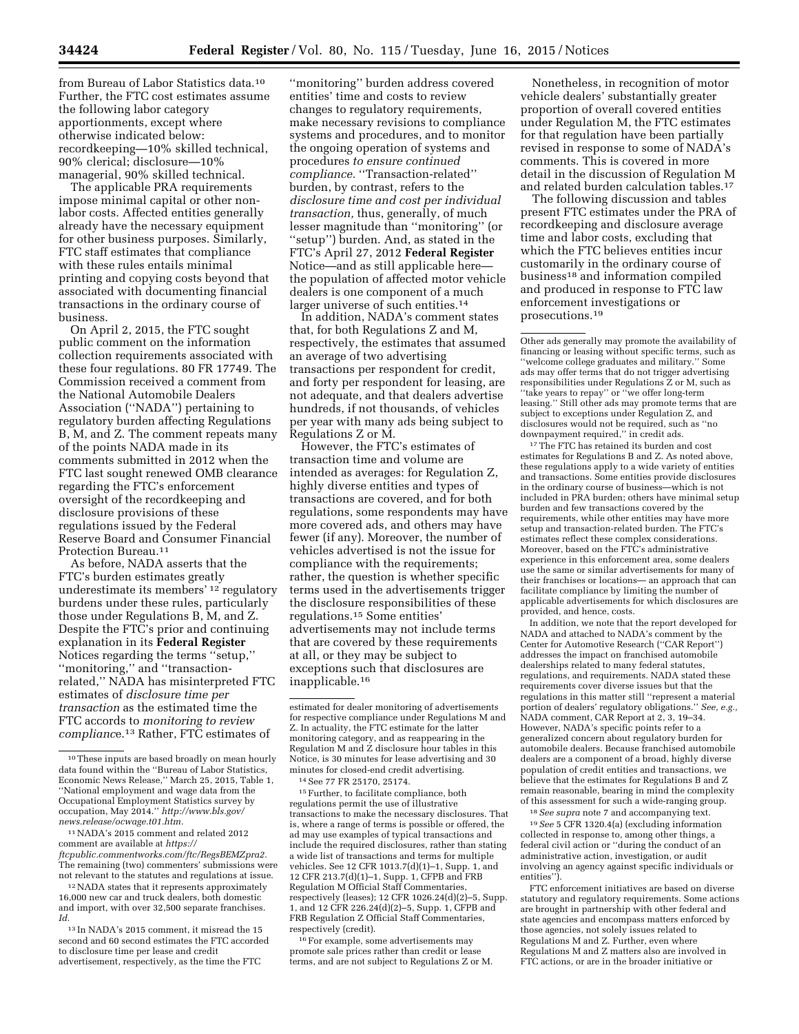from Bureau of Labor Statistics data.10 Further, the FTC cost estimates assume the following labor category apportionments, except where otherwise indicated below: recordkeeping—10% skilled technical, 90% clerical; disclosure—10% managerial, 90% skilled technical.

The applicable PRA requirements impose minimal capital or other nonlabor costs. Affected entities generally already have the necessary equipment for other business purposes. Similarly, FTC staff estimates that compliance with these rules entails minimal printing and copying costs beyond that associated with documenting financial transactions in the ordinary course of business.

On April 2, 2015, the FTC sought public comment on the information collection requirements associated with these four regulations. 80 FR 17749. The Commission received a comment from the National Automobile Dealers Association (''NADA'') pertaining to regulatory burden affecting Regulations B, M, and Z. The comment repeats many of the points NADA made in its comments submitted in 2012 when the FTC last sought renewed OMB clearance regarding the FTC's enforcement oversight of the recordkeeping and disclosure provisions of these regulations issued by the Federal Reserve Board and Consumer Financial Protection Bureau.<sup>11</sup>

As before, NADA asserts that the FTC's burden estimates greatly underestimate its members' 12 regulatory burdens under these rules, particularly those under Regulations B, M, and Z. Despite the FTC's prior and continuing explanation in its **Federal Register**  Notices regarding the terms ''setup,'' ''monitoring,'' and ''transactionrelated,'' NADA has misinterpreted FTC estimates of *disclosure time per transaction* as the estimated time the FTC accords to *monitoring to review complianc*e.13 Rather, FTC estimates of

11NADA's 2015 comment and related 2012 comment are available at *[https://](https://ftcpublic.commentworks.com/ftc/RegsBEMZpra2) [ftcpublic.commentworks.com/ftc/RegsBEMZpra2.](https://ftcpublic.commentworks.com/ftc/RegsBEMZpra2)*  The remaining (two) commenters' submissions were not relevant to the statutes and regulations at issue.

12NADA states that it represents approximately 16,000 new car and truck dealers, both domestic and import, with over 32,500 separate franchises. *Id.* 

13 In NADA's 2015 comment, it misread the 15 second and 60 second estimates the FTC accorded to disclosure time per lease and credit advertisement, respectively, as the time the FTC

''monitoring'' burden address covered entities' time and costs to review changes to regulatory requirements, make necessary revisions to compliance systems and procedures, and to monitor the ongoing operation of systems and procedures *to ensure continued compliance.* ''Transaction-related'' burden, by contrast, refers to the *disclosure time and cost per individual transaction,* thus, generally, of much lesser magnitude than ''monitoring'' (or ''setup'') burden. And, as stated in the FTC's April 27, 2012 **Federal Register**  Notice—and as still applicable here the population of affected motor vehicle dealers is one component of a much larger universe of such entities.<sup>14</sup>

In addition, NADA's comment states that, for both Regulations Z and M, respectively, the estimates that assumed an average of two advertising transactions per respondent for credit, and forty per respondent for leasing, are not adequate, and that dealers advertise hundreds, if not thousands, of vehicles per year with many ads being subject to Regulations Z or M.

However, the FTC's estimates of transaction time and volume are intended as averages: for Regulation Z, highly diverse entities and types of transactions are covered, and for both regulations, some respondents may have more covered ads, and others may have fewer (if any). Moreover, the number of vehicles advertised is not the issue for compliance with the requirements; rather, the question is whether specific terms used in the advertisements trigger the disclosure responsibilities of these regulations.15 Some entities' advertisements may not include terms that are covered by these requirements at all, or they may be subject to exceptions such that disclosures are inapplicable.16

15Further, to facilitate compliance, both regulations permit the use of illustrative transactions to make the necessary disclosures. That is, where a range of terms is possible or offered, the ad may use examples of typical transactions and include the required disclosures, rather than stating a wide list of transactions and terms for multiple vehicles. See 12 CFR 1013.7(d)(1)–1, Supp. 1, and 12 CFR 213.7(d)(1)–1, Supp. 1, CFPB and FRB Regulation M Official Staff Commentaries, respectively (leases); 12 CFR 1026.24(d)(2)–5, Supp. 1, and 12 CFR 226.24(d)(2)–5, Supp. 1, CFPB and FRB Regulation Z Official Staff Commentaries, respectively (credit).

16For example, some advertisements may promote sale prices rather than credit or lease terms, and are not subject to Regulations Z or M.

Nonetheless, in recognition of motor vehicle dealers' substantially greater proportion of overall covered entities under Regulation M, the FTC estimates for that regulation have been partially revised in response to some of NADA's comments. This is covered in more detail in the discussion of Regulation M and related burden calculation tables.17

The following discussion and tables present FTC estimates under the PRA of recordkeeping and disclosure average time and labor costs, excluding that which the FTC believes entities incur customarily in the ordinary course of business18 and information compiled and produced in response to FTC law enforcement investigations or prosecutions.19

Other ads generally may promote the availability of financing or leasing without specific terms, such as ''welcome college graduates and military.'' Some ads may offer terms that do not trigger advertising responsibilities under Regulations Z or M, such as ''take years to repay'' or ''we offer long-term leasing.'' Still other ads may promote terms that are subject to exceptions under Regulation Z, and disclosures would not be required, such as ''no downpayment required,'' in credit ads.

 $\rm ^{17}$  The FTC has retained its burden and cost estimates for Regulations B and Z. As noted above, these regulations apply to a wide variety of entities and transactions. Some entities provide disclosures in the ordinary course of business—which is not included in PRA burden; others have minimal setup burden and few transactions covered by the requirements, while other entities may have more setup and transaction-related burden. The FTC's estimates reflect these complex considerations. Moreover, based on the FTC's administrative experience in this enforcement area, some dealers use the same or similar advertisements for many of their franchises or locations— an approach that can facilitate compliance by limiting the number of applicable advertisements for which disclosures are provided, and hence, costs.

In addition, we note that the report developed for NADA and attached to NADA's comment by the Center for Automotive Research (''CAR Report'') addresses the impact on franchised automobile dealerships related to many federal statutes, regulations, and requirements. NADA stated these requirements cover diverse issues but that the regulations in this matter still ''represent a material portion of dealers' regulatory obligations.'' *See, e.g.,*  NADA comment, CAR Report at 2, 3, 19–34. However, NADA's specific points refer to a generalized concern about regulatory burden for automobile dealers. Because franchised automobile dealers are a component of a broad, highly diverse population of credit entities and transactions, we believe that the estimates for Regulations B and Z remain reasonable, bearing in mind the complexity of this assessment for such a wide-ranging group.

18*See supra* note 7 and accompanying text.

19*See* 5 CFR 1320.4(a) (excluding information collected in response to, among other things, a federal civil action or ''during the conduct of an administrative action, investigation, or audit involving an agency against specific individuals or entities'').

FTC enforcement initiatives are based on diverse statutory and regulatory requirements. Some actions are brought in partnership with other federal and state agencies and encompass matters enforced by those agencies, not solely issues related to Regulations M and Z. Further, even where Regulations M and Z matters also are involved in FTC actions, or are in the broader initiative or

<sup>10</sup>These inputs are based broadly on mean hourly data found within the ''Bureau of Labor Statistics, Economic News Release,'' March 25, 2015, Table 1, ''National employment and wage data from the Occupational Employment Statistics survey by occupation, May 2014.'' *[http://www.bls.gov/](http://www.bls.gov/news.release/ocwage.t01.htm) [news.release/ocwage.t01.htm.](http://www.bls.gov/news.release/ocwage.t01.htm)* 

estimated for dealer monitoring of advertisements for respective compliance under Regulations M and Z. In actuality, the FTC estimate for the latter monitoring category, and as reappearing in the Regulation M and Z disclosure hour tables in this Notice, is 30 minutes for lease advertising and 30 minutes for closed-end credit advertising.

<sup>14</sup>See 77 FR 25170, 25174.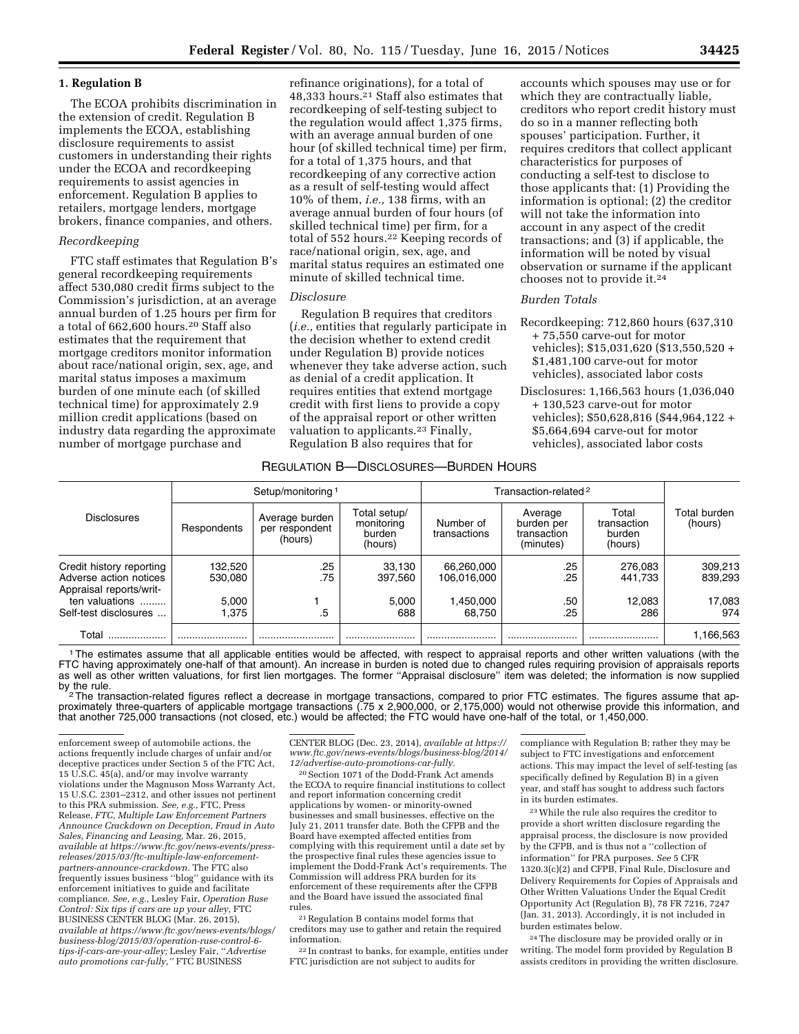#### **1. Regulation B**

The ECOA prohibits discrimination in the extension of credit. Regulation B implements the ECOA, establishing disclosure requirements to assist customers in understanding their rights under the ECOA and recordkeeping requirements to assist agencies in enforcement. Regulation B applies to retailers, mortgage lenders, mortgage brokers, finance companies, and others.

#### *Recordkeeping*

FTC staff estimates that Regulation B's general recordkeeping requirements affect 530,080 credit firms subject to the Commission's jurisdiction, at an average annual burden of 1.25 hours per firm for a total of 662,600 hours.20 Staff also estimates that the requirement that mortgage creditors monitor information about race/national origin, sex, age, and marital status imposes a maximum burden of one minute each (of skilled technical time) for approximately 2.9 million credit applications (based on industry data regarding the approximate number of mortgage purchase and

refinance originations), for a total of 48,333 hours.21 Staff also estimates that recordkeeping of self-testing subject to the regulation would affect 1,375 firms, with an average annual burden of one hour (of skilled technical time) per firm, for a total of 1,375 hours, and that recordkeeping of any corrective action as a result of self-testing would affect 10% of them, *i.e.,* 138 firms, with an average annual burden of four hours (of skilled technical time) per firm, for a total of 552 hours.<sup>22</sup> Keeping records of race/national origin, sex, age, and marital status requires an estimated one minute of skilled technical time.

#### *Disclosure*

Regulation B requires that creditors (*i.e.,* entities that regularly participate in the decision whether to extend credit under Regulation B) provide notices whenever they take adverse action, such as denial of a credit application. It requires entities that extend mortgage credit with first liens to provide a copy of the appraisal report or other written valuation to applicants.23 Finally, Regulation B also requires that for

accounts which spouses may use or for which they are contractually liable, creditors who report credit history must do so in a manner reflecting both spouses' participation. Further, it requires creditors that collect applicant characteristics for purposes of conducting a self-test to disclose to those applicants that: (1) Providing the information is optional; (2) the creditor will not take the information into account in any aspect of the credit transactions; and (3) if applicable, the information will be noted by visual observation or surname if the applicant chooses not to provide it.24

## *Burden Totals*

- Recordkeeping: 712,860 hours (637,310 + 75,550 carve-out for motor vehicles); \$15,031,620 (\$13,550,520 + \$1,481,100 carve-out for motor vehicles), associated labor costs
- Disclosures: 1,166,563 hours (1,036,040 + 130,523 carve-out for motor vehicles); \$50,628,816 (\$44,964,122 + \$5,664,694 carve-out for motor vehicles), associated labor costs

#### REGULATION B—DISCLOSURES—BURDEN HOURS

|                                                                               |                    | Setup/monitoring 1                          |                                                 | Transaction-related <sup>2</sup> |                                                   |                                           |                         |
|-------------------------------------------------------------------------------|--------------------|---------------------------------------------|-------------------------------------------------|----------------------------------|---------------------------------------------------|-------------------------------------------|-------------------------|
| <b>Disclosures</b>                                                            | Respondents        | Average burden<br>per respondent<br>(hours) | Total setup/<br>monitoring<br>burden<br>(hours) | Number of<br>transactions        | Average<br>burden per<br>transaction<br>(minutes) | Total<br>transaction<br>burden<br>(hours) | Total burden<br>(hours) |
| Credit history reporting<br>Adverse action notices<br>Appraisal reports/writ- | 132,520<br>530.080 | .25<br>.75                                  | 33,130<br>397.560                               | 66,260,000<br>106.016.000        | .25<br>.25                                        | 276,083<br>441.733                        | 309,213<br>839,293      |
| ten valuations<br>Self-test disclosures                                       | 5.000<br>1.375     | .5                                          | 5.000<br>688                                    | 1,450,000<br>68.750              | .50<br>.25                                        | 12,083<br>286                             | 17,083<br>974           |
| Total                                                                         |                    |                                             |                                                 |                                  |                                                   |                                           | 1,166,563               |

1The estimates assume that all applicable entities would be affected, with respect to appraisal reports and other written valuations (with the FTC having approximately one-half of that amount). An increase in burden is noted due to changed rules requiring provision of appraisals reports as well as other written valuations, for first lien mortgages. The former "Appraisal disclosure" item was deleted; the information is now supplied by the rule. by the rule.<br><sup>2</sup>The transaction-related figures reflect a decrease in mortgage transactions, compared to prior FTC estimates. The figures assume that ap-

proximately three-quarters of applicable mortgage transactions (.75 x 2,900,000, or 2,175,000) would not otherwise provide this information, and that another 725,000 transactions (not closed, etc.) would be affected; the FTC would have one-half of the total, or 1,450,000.

CENTER BLOG (Dec. 23, 2014), *available at [https://](https://www.ftc.gov/news-events/blogs/business-blog/2014/12/advertise-auto-promotions-car-fully) [www.ftc.gov/news-events/blogs/business-blog/2014/](https://www.ftc.gov/news-events/blogs/business-blog/2014/12/advertise-auto-promotions-car-fully) [12/advertise-auto-promotions-car-fully.](https://www.ftc.gov/news-events/blogs/business-blog/2014/12/advertise-auto-promotions-car-fully)* 

20Section 1071 of the Dodd-Frank Act amends the ECOA to require financial institutions to collect and report information concerning credit applications by women- or minority-owned businesses and small businesses, effective on the July 21, 2011 transfer date. Both the CFPB and the Board have exempted affected entities from complying with this requirement until a date set by the prospective final rules these agencies issue to implement the Dodd-Frank Act's requirements. The Commission will address PRA burden for its enforcement of these requirements after the CFPB and the Board have issued the associated final rules.

21Regulation B contains model forms that creditors may use to gather and retain the required information.

22 In contrast to banks, for example, entities under FTC jurisdiction are not subject to audits for

compliance with Regulation B; rather they may be subject to FTC investigations and enforcement actions. This may impact the level of self-testing (as specifically defined by Regulation B) in a given year, and staff has sought to address such factors in its burden estimates.

23While the rule also requires the creditor to provide a short written disclosure regarding the appraisal process, the disclosure is now provided by the CFPB, and is thus not a ''collection of information'' for PRA purposes. *See* 5 CFR 1320.3(c)(2) and CFPB, Final Rule, Disclosure and Delivery Requirements for Copies of Appraisals and Other Written Valuations Under the Equal Credit Opportunity Act (Regulation B), 78 FR 7216, 7247 (Jan. 31, 2013). Accordingly, it is not included in burden estimates below.

24The disclosure may be provided orally or in writing. The model form provided by Regulation B assists creditors in providing the written disclosure.

enforcement sweep of automobile actions, the actions frequently include charges of unfair and/or deceptive practices under Section 5 of the FTC Act, 15 U.S.C. 45(a), and/or may involve warranty violations under the Magnuson Moss Warranty Act, 15 U.S.C. 2301–2312, and other issues not pertinent to this PRA submission. *See, e.g.,* FTC, Press Release, *FTC, Multiple Law Enforcement Partners Announce Crackdown on Deception, Fraud in Auto Sales, Financing and Leasing,* Mar. 26, 2015, *available at [https://www.ftc.gov/news-events/press](https://www.ftc.gov/news-events/press-releases/2015/03/ftc-multiple-law-enforcement-partners-announce-crackdown)[releases/2015/03/ftc-multiple-law-enforcement](https://www.ftc.gov/news-events/press-releases/2015/03/ftc-multiple-law-enforcement-partners-announce-crackdown)[partners-announce-crackdown](https://www.ftc.gov/news-events/press-releases/2015/03/ftc-multiple-law-enforcement-partners-announce-crackdown).* The FTC also frequently issues business ''blog'' guidance with its enforcement initiatives to guide and facilitate compliance. *See, e.g.,* Lesley Fair, *Operation Ruse Control: Six tips if cars are up your alley,* FTC BUSINESS CENTER BLOG (Mar. 26, 2015), *available at [https://www.ftc.gov/news-events/blogs/](https://www.ftc.gov/news-events/blogs/business-blog/2015/03/operation-ruse-control-6-tips-if-cars-are-your-alley)  [business-blog/2015/03/operation-ruse-control-6](https://www.ftc.gov/news-events/blogs/business-blog/2015/03/operation-ruse-control-6-tips-if-cars-are-your-alley)  [tips-if-cars-are-your-alley;](https://www.ftc.gov/news-events/blogs/business-blog/2015/03/operation-ruse-control-6-tips-if-cars-are-your-alley)* Lesley Fair, ''*Advertise auto promotions car-fully,''* FTC BUSINESS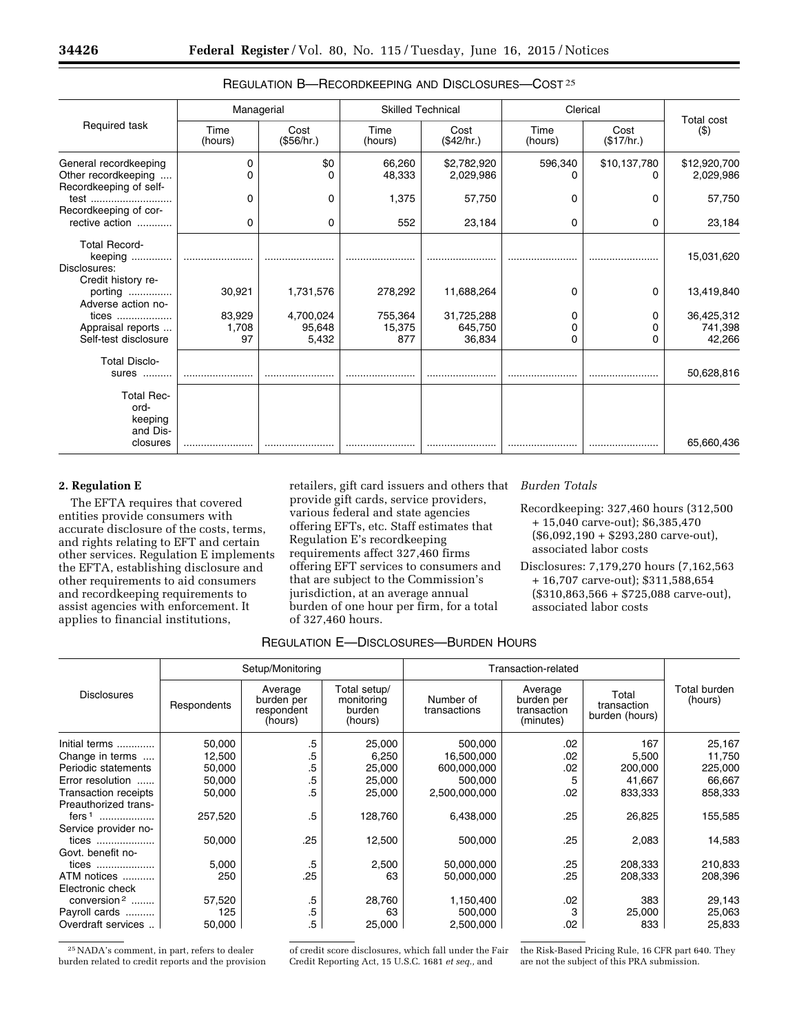|                                                                        |                 | Managerial         |                  | <b>Skilled Technical</b> |                 | Clerical           | <b>Total cost</b>         |  |
|------------------------------------------------------------------------|-----------------|--------------------|------------------|--------------------------|-----------------|--------------------|---------------------------|--|
| Required task                                                          | Time<br>(hours) | Cost<br>(\$56/hr.) | Time<br>(hours)  | Cost<br>(\$42/hr.)       | Time<br>(hours) | Cost<br>(\$17/hr.) | $($ \$)                   |  |
| General recordkeeping<br>Other recordkeeping<br>Recordkeeping of self- | 0               | \$0<br>0           | 66,260<br>48,333 | \$2,782,920<br>2,029,986 | 596,340         | \$10,137,780<br>O  | \$12,920,700<br>2,029,986 |  |
| test                                                                   | O               | 0                  | 1,375            | 57,750                   | 0               | O                  | 57,750                    |  |
| Recordkeeping of cor-                                                  |                 |                    |                  |                          |                 |                    |                           |  |
| rective action                                                         | 0               | 0                  | 552              | 23,184                   | 0               | 0                  | 23,184                    |  |
| <b>Total Record-</b><br>keeping<br>Disclosures:                        |                 |                    |                  |                          |                 |                    | 15,031,620                |  |
| Credit history re-<br>porting<br>Adverse action no-                    | 30,921          | 1,731,576          | 278,292          | 11,688,264               | 0               | 0                  | 13,419,840                |  |
| tices                                                                  | 83,929          | 4,700,024          | 755,364          | 31,725,288               | 0               | 0                  | 36,425,312                |  |
| Appraisal reports                                                      | 1,708           | 95,648             | 15,375           | 645,750                  | 0               |                    | 741,398                   |  |
| Self-test disclosure                                                   | 97              | 5,432              | 877              | 36,834                   | 0               | 0                  | 42,266                    |  |
| <b>Total Disclo-</b><br>sures<br>.                                     |                 |                    |                  |                          |                 |                    | 50,628,816                |  |
| <b>Total Rec-</b><br>ord-<br>keeping<br>and Dis-                       |                 |                    |                  |                          |                 |                    |                           |  |
| closures                                                               |                 |                    |                  |                          |                 |                    | 65,660,436                |  |

# REGULATION B—RECORDKEEPING AND DISCLOSURES—COST 25

# **2. Regulation E**

The EFTA requires that covered entities provide consumers with accurate disclosure of the costs, terms, and rights relating to EFT and certain other services. Regulation E implements the EFTA, establishing disclosure and other requirements to aid consumers and recordkeeping requirements to assist agencies with enforcement. It applies to financial institutions,

retailers, gift card issuers and others that provide gift cards, service providers, various federal and state agencies offering EFTs, etc. Staff estimates that Regulation E's recordkeeping requirements affect 327,460 firms offering EFT services to consumers and that are subject to the Commission's jurisdiction, at an average annual burden of one hour per firm, for a total of 327,460 hours.

### *Burden Totals*

Recordkeeping: 327,460 hours (312,500 + 15,040 carve-out); \$6,385,470 (\$6,092,190 + \$293,280 carve-out), associated labor costs

Disclosures: 7,179,270 hours (7,162,563 + 16,707 carve-out); \$311,588,654  $($310,863,566 + $725,088$  carve-out), associated labor costs

# REGULATION E—DISCLOSURES—BURDEN HOURS

|                         |             | Setup/Monitoring                               |                                                 | Transaction-related       |                                                   |                                        |                         |
|-------------------------|-------------|------------------------------------------------|-------------------------------------------------|---------------------------|---------------------------------------------------|----------------------------------------|-------------------------|
| <b>Disclosures</b>      | Respondents | Average<br>burden per<br>respondent<br>(hours) | Total setup/<br>monitoring<br>burden<br>(hours) | Number of<br>transactions | Average<br>burden per<br>transaction<br>(minutes) | Total<br>transaction<br>burden (hours) | Total burden<br>(hours) |
| Initial terms           | 50,000      | .5                                             | 25,000                                          | 500,000                   | .02                                               | 167                                    | 25,167                  |
| Change in terms         | 12,500      | .5                                             | 6,250                                           | 16,500,000                | .02                                               | 5,500                                  | 11,750                  |
| Periodic statements     | 50,000      | .5                                             | 25,000                                          | 600,000,000               | .02                                               | 200,000                                | 225,000                 |
| Error resolution        | 50,000      | .5                                             | 25,000                                          | 500,000                   | 5                                                 | 41,667                                 | 66,667                  |
| Transaction receipts    | 50,000      | .5                                             | 25,000                                          | 2,500,000,000             | .02                                               | 833,333                                | 858,333                 |
| Preauthorized trans-    |             |                                                |                                                 |                           |                                                   |                                        |                         |
| fers <sup>1</sup><br>.  | 257,520     | .5                                             | 128,760                                         | 6,438,000                 | .25                                               | 26,825                                 | 155,585                 |
| Service provider no-    |             |                                                |                                                 |                           |                                                   |                                        |                         |
| tices                   | 50,000      | .25                                            | 12,500                                          | 500,000                   | .25                                               | 2,083                                  | 14,583                  |
| Govt. benefit no-       |             |                                                |                                                 |                           |                                                   |                                        |                         |
| tices                   | 5,000       | .5                                             | 2,500                                           | 50,000,000                | .25                                               | 208,333                                | 210,833                 |
| ATM notices             | 250         | .25                                            | 63                                              | 50,000,000                | .25                                               | 208,333                                | 208,396                 |
| Electronic check        |             |                                                |                                                 |                           |                                                   |                                        |                         |
| conversion <sup>2</sup> | 57,520      | .5                                             | 28,760                                          | 1,150,400                 | .02                                               | 383                                    | 29,143                  |
| Payroll cards           | 125         | .5                                             | 63                                              | 500,000                   | 3                                                 | 25,000                                 | 25,063                  |
| Overdraft services      | 50,000      | .5                                             | 25,000                                          | 2,500,000                 | .02                                               | 833                                    | 25,833                  |

25NADA's comment, in part, refers to dealer burden related to credit reports and the provision of credit score disclosures, which fall under the Fair Credit Reporting Act, 15 U.S.C. 1681 *et seq.,* and

the Risk-Based Pricing Rule, 16 CFR part 640. They are not the subject of this PRA submission.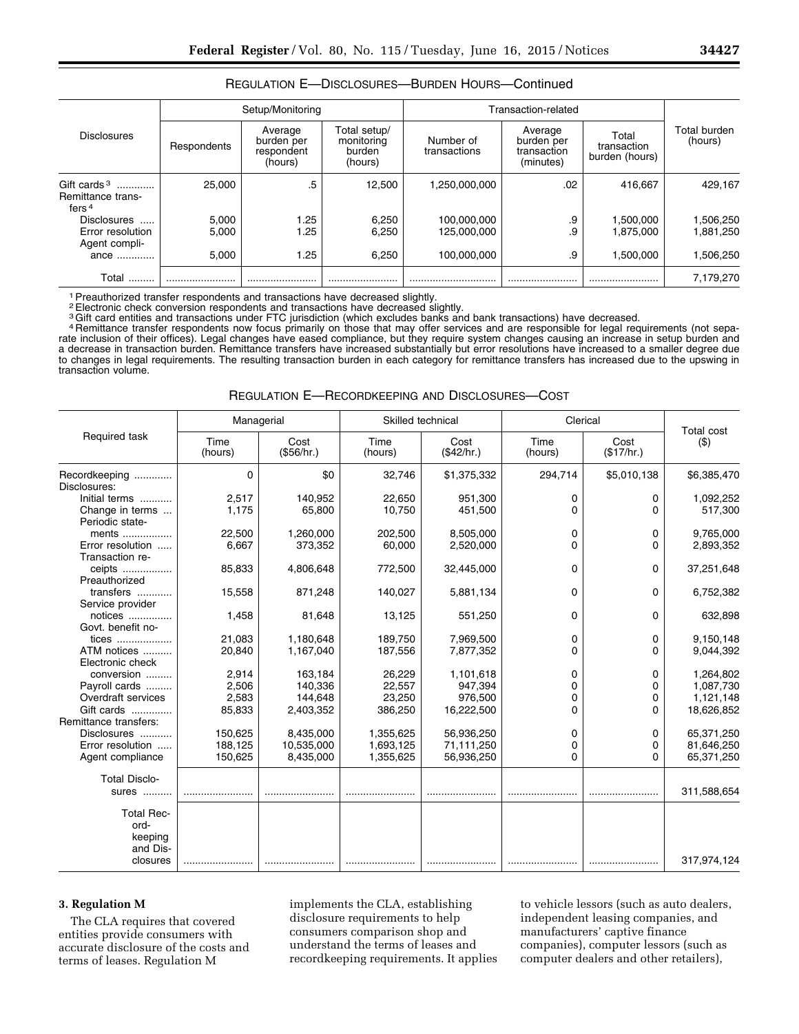|                                                                 |                         | Setup/Monitoring                               |                                                 | Transaction-related                       |                                                   |                                        |                                     |
|-----------------------------------------------------------------|-------------------------|------------------------------------------------|-------------------------------------------------|-------------------------------------------|---------------------------------------------------|----------------------------------------|-------------------------------------|
| <b>Disclosures</b>                                              | Respondents             | Average<br>burden per<br>respondent<br>(hours) | Total setup/<br>monitoring<br>burden<br>(hours) | Number of<br>transactions                 | Average<br>burden per<br>transaction<br>(minutes) | Total<br>transaction<br>burden (hours) | Total burden<br>(hours)             |
| Gift cards $3$<br>Remittance trans-<br>fers <sup>4</sup>        | 25.000                  | .5                                             | 12.500                                          | 1,250,000,000                             | .02                                               | 416.667                                | 429.167                             |
| <b>Disclosures</b><br>Error resolution<br>Agent compli-<br>ance | 5,000<br>5,000<br>5,000 | 1.25<br>1.25<br>1.25                           | 6,250<br>6.250<br>6.250                         | 100,000,000<br>125.000.000<br>100.000.000 | .9<br>.9<br>.9                                    | 1.500.000<br>1.875.000<br>1.500.000    | 1,506,250<br>1.881.250<br>1,506,250 |
| Total                                                           |                         |                                                |                                                 |                                           |                                                   |                                        | 7,179,270                           |

## REGULATION E—DISCLOSURES—BURDEN HOURS—Continued

1Preauthorized transfer respondents and transactions have decreased slightly.

2Electronic check conversion respondents and transactions have decreased slightly.

<sup>3</sup>Gift card entities and transactions under FTC jurisdiction (which excludes banks and bank transactions) have decreased.<br><sup>4</sup> Remittance transfer respondents now focus primarily on those that may offer services and are re rate inclusion of their offices). Legal changes have eased compliance, but they require system changes causing an increase in setup burden and a decrease in transaction burden. Remittance transfers have increased substantially but error resolutions have increased to a smaller degree due to changes in legal requirements. The resulting transaction burden in each category for remittance transfers has increased due to the upswing in transaction volume.

| REGULATION E—RECORDKEEPING AND DISCLOSURES—COST |  |
|-------------------------------------------------|--|
|-------------------------------------------------|--|

|                                                                              |                                   | Managerial                                 | Skilled technical                     |                                               | Clerical         | <b>Total cost</b>  |                                                   |
|------------------------------------------------------------------------------|-----------------------------------|--------------------------------------------|---------------------------------------|-----------------------------------------------|------------------|--------------------|---------------------------------------------------|
| Required task                                                                | Time<br>(hours)                   | Cost<br>(\$56/hr.)                         | Time<br>(hours)                       | Cost<br>(\$42/hr.)                            | Time<br>(hours)  | Cost<br>(\$17/hr.) | (3)                                               |
| Recordkeeping<br>Disclosures:                                                | $\Omega$                          | \$0                                        | 32,746                                | \$1,375,332                                   | 294,714          | \$5,010,138        | \$6,385,470                                       |
| Initial terms<br>Change in terms<br>Periodic state-                          | 2,517<br>1,175                    | 140,952<br>65,800                          | 22,650<br>10.750                      | 951,300<br>451,500                            | 0<br>0           | 0<br>$\Omega$      | 1,092,252<br>517,300                              |
| ments<br>Error resolution<br>Transaction re-                                 | 22,500<br>6,667                   | 1,260,000<br>373,352                       | 202,500<br>60,000                     | 8,505,000<br>2,520,000                        | 0<br>0           | 0<br>$\Omega$      | 9,765,000<br>2,893,352                            |
| ceipts<br>Preauthorized                                                      | 85,833                            | 4,806,648                                  | 772,500                               | 32,445,000                                    | 0                | 0                  | 37,251,648                                        |
| transfers<br>Service provider                                                | 15,558                            | 871,248                                    | 140,027                               | 5,881,134                                     | 0                | $\Omega$           | 6,752,382                                         |
| notices<br>Govt. benefit no-                                                 | 1,458                             | 81,648                                     | 13,125                                | 551,250                                       | 0                | $\Omega$           | 632,898                                           |
| tices<br>ATM notices<br>Electronic check                                     | 21,083<br>20,840                  | 1,180,648<br>1,167,040                     | 189,750<br>187,556                    | 7,969,500<br>7,877,352                        | 0<br>0           | 0<br>$\Omega$      | 9,150,148<br>9,044,392                            |
| conversion<br>Payroll cards<br>Overdraft services<br>Gift cards              | 2,914<br>2,506<br>2,583<br>85,833 | 163,184<br>140,336<br>144,648<br>2,403,352 | 26,229<br>22,557<br>23,250<br>386,250 | 1,101,618<br>947,394<br>976,500<br>16,222,500 | 0<br>0<br>0<br>0 | 0<br>0<br>0<br>0   | 1,264,802<br>1,087,730<br>1,121,148<br>18,626,852 |
| Remittance transfers:<br>Disclosures<br>Error resolution<br>Agent compliance | 150,625<br>188,125<br>150,625     | 8,435,000<br>10,535,000<br>8,435,000       | 1,355,625<br>1,693,125<br>1,355,625   | 56,936,250<br>71,111,250<br>56,936,250        | 0<br>0<br>0      | 0<br>0<br>0        | 65,371,250<br>81,646,250<br>65,371,250            |
| <b>Total Disclo-</b><br>sures                                                |                                   |                                            |                                       |                                               |                  |                    | 311,588,654                                       |
| <b>Total Rec-</b><br>ord-<br>keeping<br>and Dis-<br>closures                 |                                   |                                            |                                       |                                               |                  |                    | 317,974,124                                       |

## **3. Regulation M**

The CLA requires that covered entities provide consumers with accurate disclosure of the costs and terms of leases. Regulation M

implements the CLA, establishing disclosure requirements to help consumers comparison shop and understand the terms of leases and recordkeeping requirements. It applies

to vehicle lessors (such as auto dealers, independent leasing companies, and manufacturers' captive finance companies), computer lessors (such as computer dealers and other retailers),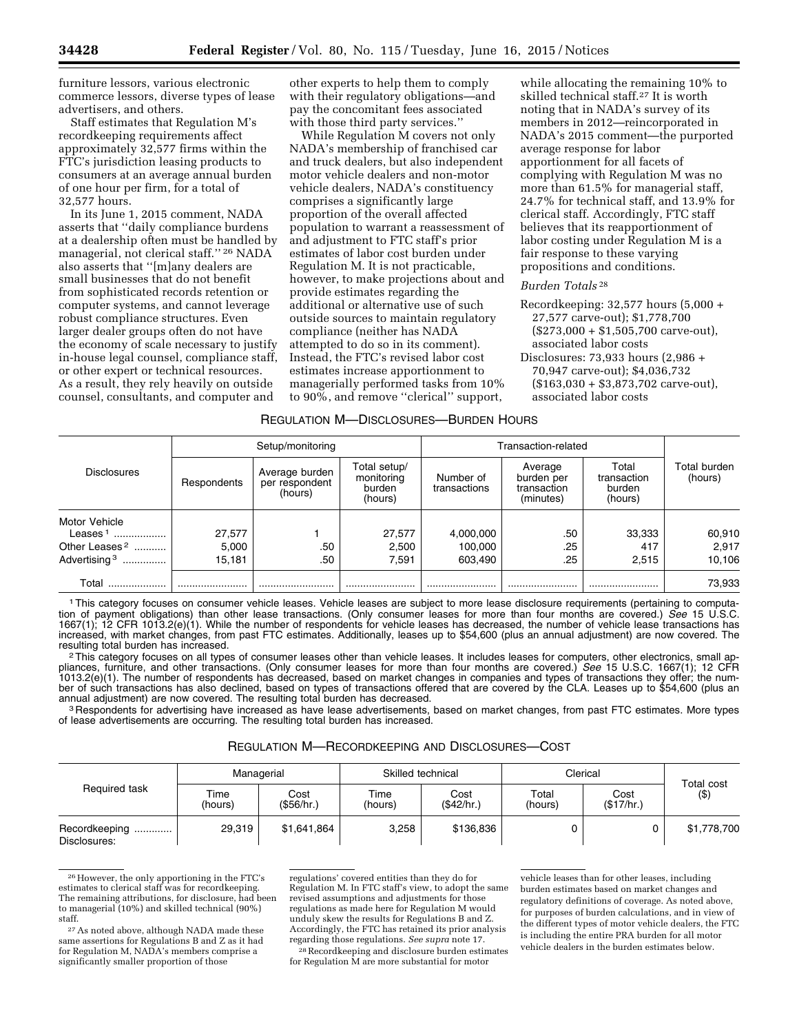furniture lessors, various electronic commerce lessors, diverse types of lease advertisers, and others.

Staff estimates that Regulation M's recordkeeping requirements affect approximately 32,577 firms within the FTC's jurisdiction leasing products to consumers at an average annual burden of one hour per firm, for a total of 32,577 hours.

In its June 1, 2015 comment, NADA asserts that ''daily compliance burdens at a dealership often must be handled by managerial, not clerical staff.'' 26 NADA also asserts that ''[m]any dealers are small businesses that do not benefit from sophisticated records retention or computer systems, and cannot leverage robust compliance structures. Even larger dealer groups often do not have the economy of scale necessary to justify in-house legal counsel, compliance staff, or other expert or technical resources. As a result, they rely heavily on outside counsel, consultants, and computer and

other experts to help them to comply with their regulatory obligations—and pay the concomitant fees associated with those third party services.''

While Regulation M covers not only NADA's membership of franchised car and truck dealers, but also independent motor vehicle dealers and non-motor vehicle dealers, NADA's constituency comprises a significantly large proportion of the overall affected population to warrant a reassessment of and adjustment to FTC staff's prior estimates of labor cost burden under Regulation M. It is not practicable, however, to make projections about and provide estimates regarding the additional or alternative use of such outside sources to maintain regulatory compliance (neither has NADA attempted to do so in its comment). Instead, the FTC's revised labor cost estimates increase apportionment to managerially performed tasks from 10% to 90%, and remove ''clerical'' support,

while allocating the remaining 10% to skilled technical staff.27 It is worth noting that in NADA's survey of its members in 2012—reincorporated in NADA's 2015 comment—the purported average response for labor apportionment for all facets of complying with Regulation M was no more than 61.5% for managerial staff, 24.7% for technical staff, and 13.9% for clerical staff. Accordingly, FTC staff believes that its reapportionment of labor costing under Regulation M is a fair response to these varying propositions and conditions.

#### *Burden Totals* 28

- Recordkeeping: 32,577 hours (5,000 + 27,577 carve-out); \$1,778,700  $($273,000 + $1,505,700$  carve-out), associated labor costs
- Disclosures: 73,933 hours (2,986 + 70,947 carve-out); \$4,036,732 (\$163,030 + \$3,873,702 carve-out), associated labor costs

#### REGULATION M—DISCLOSURES—BURDEN HOURS

|                           |             | Setup/monitoring                                                                                                            |                                                   | Transaction-related                       |                         |        |        |
|---------------------------|-------------|-----------------------------------------------------------------------------------------------------------------------------|---------------------------------------------------|-------------------------------------------|-------------------------|--------|--------|
| <b>Disclosures</b>        | Respondents | Total setup/<br>Average burden<br>Number of<br>monitoring<br>per respondent<br>transactions<br>burden<br>(hours)<br>(hours) | Average<br>burden per<br>transaction<br>(minutes) | Total<br>transaction<br>burden<br>(hours) | Total burden<br>(hours) |        |        |
| Motor Vehicle             |             |                                                                                                                             |                                                   |                                           |                         |        |        |
| Leases <sup>1</sup>       | 27,577      |                                                                                                                             | 27,577                                            | 4,000,000                                 | .50                     | 33,333 | 60,910 |
| Other Leases <sup>2</sup> | 5,000       | .50                                                                                                                         | 2,500                                             | 100,000                                   | .25                     | 417    | 2,917  |
| Advertising <sup>3</sup>  | 15,181      | .50                                                                                                                         | 7,591                                             | 603,490                                   | .25                     | 2.515  | 10,106 |
| Total                     |             |                                                                                                                             |                                                   |                                           |                         |        | 73,933 |

1This category focuses on consumer vehicle leases. Vehicle leases are subject to more lease disclosure requirements (pertaining to computation of payment obligations) than other lease transactions. (Only consumer leases for more than four months are covered.) *See* 15 U.S.C. 1667(1); 12 CFR 1013.2(e)(1). While the number of respondents for vehicle leases has decreased, the number of vehicle lease transactions has increased, with market changes, from past FTC estimates. Additionally, leases up to \$54,600 (plus an annual adjustment) are now covered. The<br>resulting total burden has increased.

<sup>2</sup> This category focuses on all types of consumer leases other than vehicle leases. It includes leases for computers, other electronics, small appliances, furniture, and other transactions. (Only consumer leases for more than four months are covered.) *See* 15 U.S.C. 1667(1); 12 CFR 1013.2(e)(1). The number of respondents has decreased, based on market changes in companies and types of transactions they offer; the number of such transactions has also declined, based on types of transactions offered that are covered by the CLA. Leases up to \$54,600 (plus an<br>annual adjustment) are now covered. The resulting total burden has decreased.

<sup>3</sup> Respondents for advertising have increased as have lease advertisements, based on market changes, from past FTC estimates. More types of lease advertisements are occurring. The resulting total burden has increased.

#### REGULATION M—RECORDKEEPING AND DISCLOSURES—COST

|                               | Managerial      |                   | Skilled technical |                   | Clerical         |                   |                          |
|-------------------------------|-----------------|-------------------|-------------------|-------------------|------------------|-------------------|--------------------------|
| Required task                 | Time<br>(hours) | Cost<br>(S56/hr.) | Time<br>(hours)   | Cost<br>(S42/hr.) | Total<br>(hours) | Cost<br>(S17/hr.) | <b>Total cost</b><br>(3) |
| Recordkeeping<br>Disclosures: | 29.319          | \$1,641,864       | 3,258             | \$136,836         |                  |                   | \$1,778,700              |

<sup>26</sup>However, the only apportioning in the FTC's estimates to clerical staff was for recordkeeping. The remaining attributions, for disclosure, had been to managerial (10%) and skilled technical (90%) staff.

regulations' covered entities than they do for Regulation M. In FTC staff's view, to adopt the same revised assumptions and adjustments for those regulations as made here for Regulation M would unduly skew the results for Regulations B and Z. Accordingly, the FTC has retained its prior analysis regarding those regulations. *See supra* note 17.

28Recordkeeping and disclosure burden estimates for Regulation M are more substantial for motor

vehicle leases than for other leases, including burden estimates based on market changes and regulatory definitions of coverage. As noted above, for purposes of burden calculations, and in view of the different types of motor vehicle dealers, the FTC is including the entire PRA burden for all motor vehicle dealers in the burden estimates below.

<sup>27</sup>As noted above, although NADA made these same assertions for Regulations B and Z as it had for Regulation M, NADA's members comprise a significantly smaller proportion of those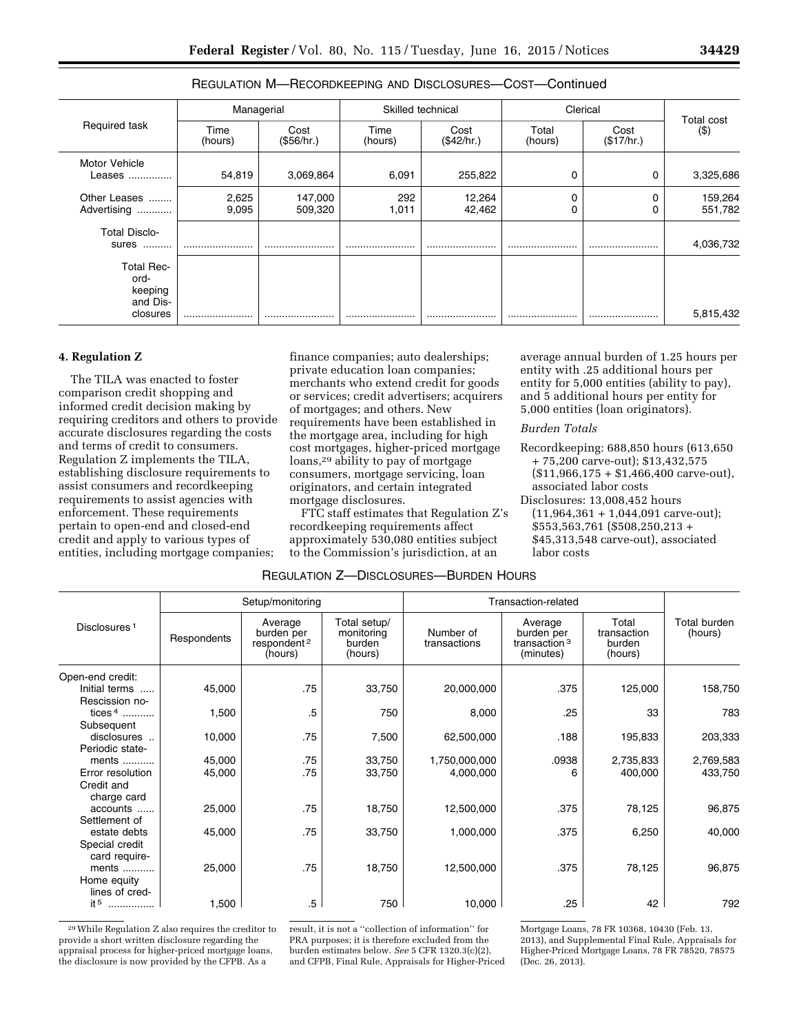| Required task                                                |                 | Managerial         |                 | Skilled technical  |                  | Clerical           |                      |
|--------------------------------------------------------------|-----------------|--------------------|-----------------|--------------------|------------------|--------------------|----------------------|
|                                                              | Time<br>(hours) | Cost<br>(\$56/hr.) | Time<br>(hours) | Cost<br>(\$42/hr.) | Total<br>(hours) | Cost<br>(\$17/hr.) | Total cost<br>( \$ ) |
| <b>Motor Vehicle</b><br>Leases                               | 54,819          | 3,069,864          | 6,091           | 255,822            | 0                | 0                  | 3,325,686            |
| Other Leases<br>Advertising                                  | 2,625<br>9,095  | 147,000<br>509,320 | 292<br>1,011    | 12,264<br>42,462   | 0<br>0           | 0                  | 159,264<br>551,782   |
| <b>Total Disclo-</b><br>sures                                |                 |                    |                 |                    |                  |                    | 4,036,732            |
| <b>Total Rec-</b><br>ord-<br>keeping<br>and Dis-<br>closures |                 |                    |                 |                    |                  |                    | 5,815,432            |

## REGULATION M—RECORDKEEPING AND DISCLOSURES—COST—Continued

# **4. Regulation Z**

The TILA was enacted to foster comparison credit shopping and informed credit decision making by requiring creditors and others to provide accurate disclosures regarding the costs and terms of credit to consumers. Regulation Z implements the TILA, establishing disclosure requirements to assist consumers and recordkeeping requirements to assist agencies with enforcement. These requirements pertain to open-end and closed-end credit and apply to various types of entities, including mortgage companies;

finance companies; auto dealerships; private education loan companies; merchants who extend credit for goods or services; credit advertisers; acquirers of mortgages; and others. New requirements have been established in the mortgage area, including for high cost mortgages, higher-priced mortgage loans,29 ability to pay of mortgage consumers, mortgage servicing, loan originators, and certain integrated mortgage disclosures.

FTC staff estimates that Regulation Z's recordkeeping requirements affect approximately 530,080 entities subject to the Commission's jurisdiction, at an

average annual burden of 1.25 hours per entity with .25 additional hours per entity for 5,000 entities (ability to pay), and 5 additional hours per entity for 5,000 entities (loan originators).

#### *Burden Totals*

- Recordkeeping: 688,850 hours (613,650 + 75,200 carve-out); \$13,432,575 (\$11,966,175 + \$1,466,400 carve-out), associated labor costs
- Disclosures: 13,008,452 hours  $(11,964,361 + 1,044,091$  carve-out); \$553,563,761 (\$508,250,213 + \$45,313,548 carve-out), associated labor costs

|                                                        | Setup/monitoring |                                                             |                                                 | Transaction-related        |                                                                |                                           |                         |
|--------------------------------------------------------|------------------|-------------------------------------------------------------|-------------------------------------------------|----------------------------|----------------------------------------------------------------|-------------------------------------------|-------------------------|
| Disclosures <sup>1</sup>                               | Respondents      | Average<br>burden per<br>respondent <sup>2</sup><br>(hours) | Total setup/<br>monitoring<br>burden<br>(hours) | Number of<br>transactions  | Average<br>burden per<br>transaction <sup>3</sup><br>(minutes) | Total<br>transaction<br>burden<br>(hours) | Total burden<br>(hours) |
| Open-end credit:<br>Initial terms<br>Rescission no-    | 45,000           | .75                                                         | 33,750                                          | 20,000,000                 | .375                                                           | 125,000                                   | 158,750                 |
| tices $4$<br>Subsequent                                | 1,500            | $.5\,$                                                      | 750                                             | 8,000                      | .25                                                            | 33                                        | 783                     |
| disclosures<br>Periodic state-                         | 10,000           | .75                                                         | 7,500                                           | 62,500,000                 | .188                                                           | 195,833                                   | 203,333                 |
| ments<br>Error resolution<br>Credit and<br>charge card | 45,000<br>45,000 | .75<br>.75                                                  | 33,750<br>33,750                                | 1,750,000,000<br>4,000,000 | .0938<br>6                                                     | 2,735,833<br>400,000                      | 2,769,583<br>433,750    |
| accounts<br>Settlement of                              | 25,000           | .75                                                         | 18,750                                          | 12,500,000                 | .375                                                           | 78,125                                    | 96,875                  |
| estate debts<br>Special credit<br>card require-        | 45,000           | .75                                                         | 33,750                                          | 1,000,000                  | .375                                                           | 6,250                                     | 40,000                  |
| ments $\ldots$<br>Home equity<br>lines of cred-        | 25,000           | .75                                                         | 18,750                                          | 12,500,000                 | .375                                                           | 78,125                                    | 96,875                  |
| it 5<br>.                                              | 1,500            | .5                                                          | 750                                             | 10,000                     | .25                                                            | 42                                        | 792                     |

REGULATION Z—DISCLOSURES—BURDEN HOURS

29While Regulation Z also requires the creditor to provide a short written disclosure regarding the appraisal process for higher-priced mortgage loans, the disclosure is now provided by the CFPB. As a

result, it is not a ''collection of information'' for PRA purposes; it is therefore excluded from the burden estimates below. *See* 5 CFR 1320.3(c)(2), and CFPB, Final Rule, Appraisals for Higher-Priced

Mortgage Loans, 78 FR 10368, 10430 (Feb. 13, 2013), and Supplemental Final Rule, Appraisals for Higher-Priced Mortgage Loans, 78 FR 78520, 78575 (Dec. 26, 2013).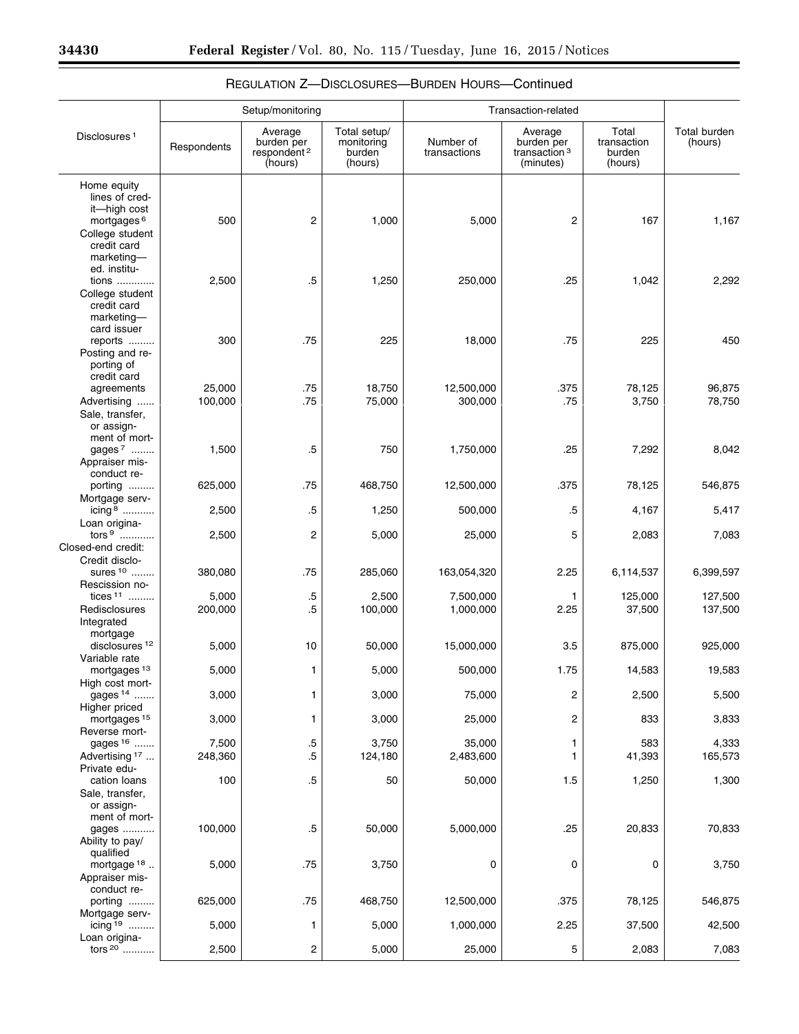Ξ

|                                                                                                                         |                   | Setup/monitoring                                            |                                                 | Transaction-related       |                                                                |                                           |                                |
|-------------------------------------------------------------------------------------------------------------------------|-------------------|-------------------------------------------------------------|-------------------------------------------------|---------------------------|----------------------------------------------------------------|-------------------------------------------|--------------------------------|
| Disclosures <sup>1</sup>                                                                                                | Respondents       | Average<br>burden per<br>respondent <sup>2</sup><br>(hours) | Total setup/<br>monitoring<br>burden<br>(hours) | Number of<br>transactions | Average<br>burden per<br>transaction <sup>3</sup><br>(minutes) | Total<br>transaction<br>burden<br>(hours) | <b>Total burden</b><br>(hours) |
| Home equity<br>lines of cred-<br>it-high cost<br>mortgages <sup>6</sup><br>College student<br>credit card<br>marketing- | 500               | 2                                                           | 1,000                                           | 5,000                     | 2                                                              | 167                                       | 1,167                          |
| ed. institu-<br>tions<br>College student<br>credit card<br>marketing-                                                   | 2,500             | .5                                                          | 1,250                                           | 250,000                   | .25                                                            | 1,042                                     | 2,292                          |
| card issuer<br>reports<br>Posting and re-<br>porting of                                                                 | 300               | .75                                                         | 225                                             | 18,000                    | .75                                                            | 225                                       | 450                            |
| credit card<br>agreements<br>Advertising<br>Sale, transfer,<br>or assign-                                               | 25,000<br>100,000 | .75<br>.75                                                  | 18,750<br>75,000                                | 12,500,000<br>300,000     | .375<br>.75                                                    | 78,125<br>3,750                           | 96,875<br>78,750               |
| ment of mort-<br>gages 7<br>Appraiser mis-<br>conduct re-                                                               | 1,500             | .5                                                          | 750                                             | 1,750,000                 | .25                                                            | 7,292                                     | 8.042                          |
| porting<br>Mortgage serv-                                                                                               | 625,000           | .75                                                         | 468,750                                         | 12,500,000                | .375                                                           | 78,125                                    | 546,875                        |
| icing $8$<br>Loan origina-                                                                                              | 2,500             | .5                                                          | 1,250                                           | 500,000                   | .5                                                             | 4,167                                     | 5,417                          |
| tors $9$<br>Closed-end credit:                                                                                          | 2,500             | $\overline{c}$                                              | 5,000                                           | 25,000                    | 5                                                              | 2,083                                     | 7,083                          |
| Credit disclo-<br>sures <sup>10</sup>                                                                                   | 380,080           | .75                                                         | 285,060                                         | 163,054,320               | 2.25                                                           | 6,114,537                                 | 6,399,597                      |
| Rescission no-<br>tices $11$<br>Redisclosures<br>Integrated                                                             | 5,000<br>200,000  | .5<br>$.5\,$                                                | 2,500<br>100,000                                | 7,500,000<br>1,000,000    | 1<br>2.25                                                      | 125,000<br>37,500                         | 127,500<br>137,500             |
| mortgage<br>disclosures <sup>12</sup>                                                                                   | 5,000             | 10                                                          | 50,000                                          | 15,000,000                | 3.5                                                            | 875,000                                   | 925,000                        |
| Variable rate<br>mortgages <sup>13</sup>                                                                                | 5,000             | 1                                                           | 5,000                                           | 500,000                   | 1.75                                                           | 14,583                                    | 19,583                         |
| High cost mort-<br>gages <sup>14</sup>                                                                                  | 3,000             | 1                                                           | 3,000                                           | 75,000                    | 2                                                              | 2,500                                     | 5,500                          |
| Higher priced<br>mortgages <sup>15</sup>                                                                                | 3,000             | 1                                                           | 3,000                                           | 25,000                    | 2                                                              | 833                                       | 3,833                          |
| Reverse mort-<br>gages <sup>16</sup><br>Advertising <sup>17</sup><br>Private edu-                                       | 7,500<br>248,360  | $.5\,$<br>$.5\,$                                            | 3,750<br>124,180                                | 35,000<br>2,483,600       | 1<br>1                                                         | 583<br>41,393                             | 4,333<br>165,573               |
| cation loans<br>Sale, transfer,<br>or assign-                                                                           | 100               | .5                                                          | 50                                              | 50,000                    | 1.5                                                            | 1,250                                     | 1,300                          |
| ment of mort-<br>gages<br>Ability to pay/<br>qualified                                                                  | 100,000           | $.5\,$                                                      | 50,000                                          | 5,000,000                 | .25                                                            | 20,833                                    | 70,833                         |
| mortgage $18$<br>Appraiser mis-<br>conduct re-                                                                          | 5,000             | .75                                                         | 3,750                                           | 0                         | 0                                                              | 0                                         | 3,750                          |
| porting<br>Mortgage serv-                                                                                               | 625,000           | .75                                                         | 468,750                                         | 12,500,000                | .375                                                           | 78,125                                    | 546,875                        |
| icing 19<br>Loan origina-                                                                                               | 5,000             | 1                                                           | 5,000                                           | 1,000,000                 | 2.25                                                           | 37,500                                    | 42,500                         |
| tors $20$                                                                                                               | 2,500             | 2                                                           | 5,000                                           | 25,000                    | 5                                                              | 2,083                                     | 7,083                          |

# REGULATION Z—DISCLOSURES—BURDEN HOURS—Continued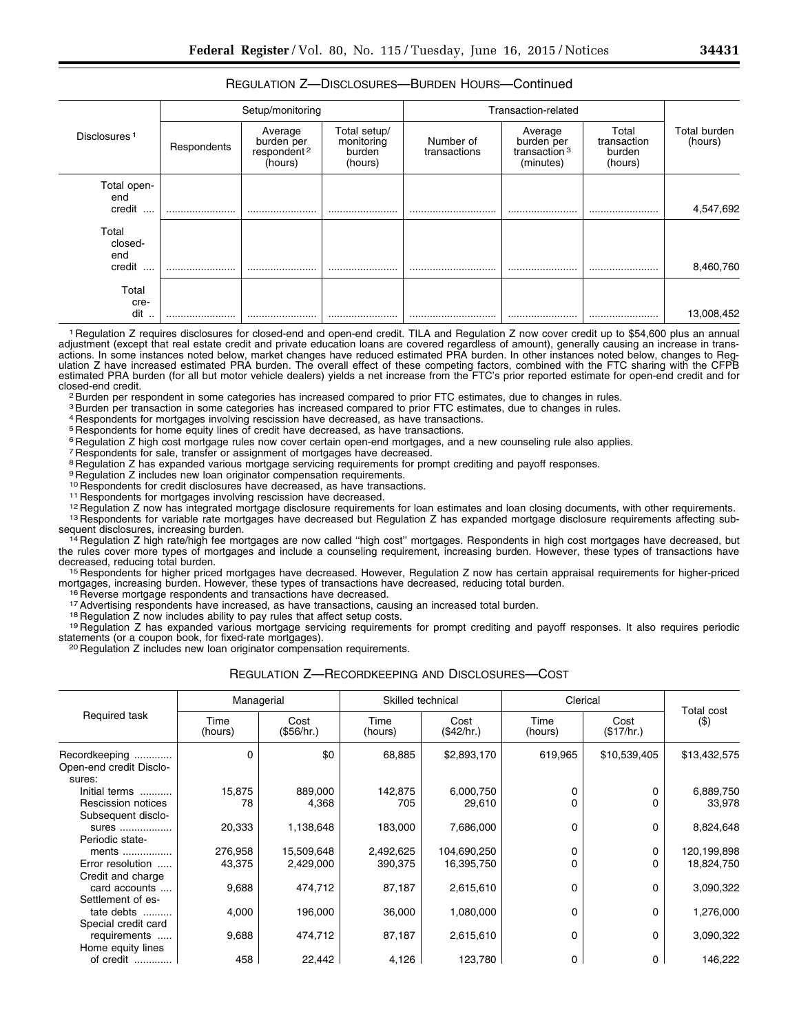## REGULATION Z—DISCLOSURES—BURDEN HOURS—Continued

| Disclosures <sup>1</sup>     | Setup/monitoring |                                                             |                                                 | Transaction-related       |                                                                |                                           |                         |
|------------------------------|------------------|-------------------------------------------------------------|-------------------------------------------------|---------------------------|----------------------------------------------------------------|-------------------------------------------|-------------------------|
|                              | Respondents      | Average<br>burden per<br>respondent <sup>2</sup><br>(hours) | Total setup/<br>monitoring<br>burden<br>(hours) | Number of<br>transactions | Average<br>burden per<br>transaction <sup>3</sup><br>(minutes) | Total<br>transaction<br>burden<br>(hours) | Total burden<br>(hours) |
| Total open-<br>end<br>credit |                  |                                                             |                                                 |                           |                                                                |                                           | 4,547,692               |
| Total<br>closed-<br>end      |                  |                                                             |                                                 |                           |                                                                |                                           |                         |
| credit<br>$\cdots$           |                  |                                                             |                                                 |                           |                                                                |                                           | 8,460,760               |
| Total<br>cre-<br>dit         |                  |                                                             |                                                 |                           |                                                                |                                           | 13,008,452              |

1 Regulation Z requires disclosures for closed-end and open-end credit. TILA and Regulation Z now cover credit up to \$54,600 plus an annual adjustment (except that real estate credit and private education loans are covered regardless of amount), generally causing an increase in transactions. In some instances noted below, market changes have reduced estimated PRA burden. In other instances noted below, changes to Regulation Z have increased estimated PRA burden. The overall effect of these competing factors, combined with the FTC sharing with the CFPB estimated PRA burden (for all but motor vehicle dealers) yields a net increase from the FTC's prior reported estimate for open-end credit and for closed-end credit.<br><sup>2</sup>Burden per respondent in some categories has increased compared to prior FTC estimates, due to changes in rules.

3 Burden per transaction in some categories has increased compared to prior FTC estimates, due to changes in rules.

4 Respondents for mortgages involving rescission have decreased, as have transactions.

<sup>5</sup> Respondents for home equity lines of credit have decreased, as have transactions.

<sup>6</sup> Regulation Z high cost mortgage rules now cover certain open-end mortgages, and a new counseling rule also applies.

7 Respondents for sale, transfer or assignment of mortgages have decreased.

<sup>8</sup> Regulation Z has expanded various mortgage servicing requirements for prompt crediting and payoff responses.

9 Regulation Z includes new loan originator compensation requirements.<br><sup>10</sup> Respondents for credit disclosures have decreased, as have transactions.

<sup>11</sup> Respondents for mortgages involving rescission have decreased.<br><sup>12</sup> Regulation Z now has integrated mortgage disclosure requirements for loan estimates and loan closing documents, with other requirements.<br><sup>13</sup> Respond

<sup>14</sup> Regulation Z high rate/high fee mortgages are now called "high cost" mortgages. Respondents in high cost mortgages have decreased, but the rules cover more types of mortgages and include a counseling requirement, increasing burden. However, these types of transactions have decreased, reducing total burden.

<sup>15</sup> Respondents for higher priced mortgages have decreased. However, Regulation Z now has certain appraisal requirements for higher-priced mortgages, increasing burden. However, these types of transactions have decreased,

<sup>16</sup> Reverse mortgage respondents and transactions have decreased.<br><sup>17</sup> Advertising respondents have increased, as have transactions, causing an increased total burden.<br><sup>18</sup> Regulation Z now includes ability to pay rules t

<sup>20</sup> Regulation Z includes new loan originator compensation requirements.

|                                   | Managerial      |                    | Skilled technical |                    | Clerical        |                    |                       |
|-----------------------------------|-----------------|--------------------|-------------------|--------------------|-----------------|--------------------|-----------------------|
| Required task                     | Time<br>(hours) | Cost<br>(\$56/hr.) | Time<br>(hours)   | Cost<br>(\$42/hr.) | Time<br>(hours) | Cost<br>(\$17/hr.) | Total cost<br>$($ \$) |
| Recordkeeping                     | 0               | \$0                | 68,885            | \$2,893,170        | 619,965         | \$10,539,405       | \$13,432,575          |
| Open-end credit Disclo-<br>sures: |                 |                    |                   |                    |                 |                    |                       |
| Initial terms                     | 15,875          | 889,000            | 142,875           | 6,000,750          | 0               | O                  | 6,889,750             |
| Rescission notices                | 78              | 4,368              | 705               | 29,610             | 0               |                    | 33,978                |
| Subsequent disclo-                |                 |                    |                   |                    |                 |                    |                       |
| sures                             | 20,333          | 1,138,648          | 183,000           | 7,686,000          | 0               | 0                  | 8,824,648             |
| Periodic state-                   |                 |                    |                   |                    |                 |                    |                       |
| ments                             | 276,958         | 15,509,648         | 2,492,625         | 104,690,250        | 0               | 0                  | 120,199,898           |
| Error resolution                  | 43,375          | 2,429,000          | 390,375           | 16,395,750         | 0               |                    | 18,824,750            |
| Credit and charge                 |                 |                    |                   |                    |                 |                    |                       |
| card accounts                     | 9,688           | 474,712            | 87,187            | 2,615,610          | 0               | 0                  | 3,090,322             |
| Settlement of es-                 |                 |                    |                   |                    |                 |                    |                       |
| tate debts                        | 4,000           | 196,000            | 36,000            | 1,080,000          | 0               | 0                  | 1,276,000             |
| Special credit card               |                 |                    |                   |                    |                 |                    |                       |
| requirements                      | 9,688           | 474,712            | 87,187            | 2,615,610          | 0               | 0                  | 3,090,322             |
| Home equity lines                 |                 |                    |                   |                    |                 |                    |                       |
| of credit                         | 458             | 22,442             | 4,126             | 123,780            | 0               | 0                  | 146,222               |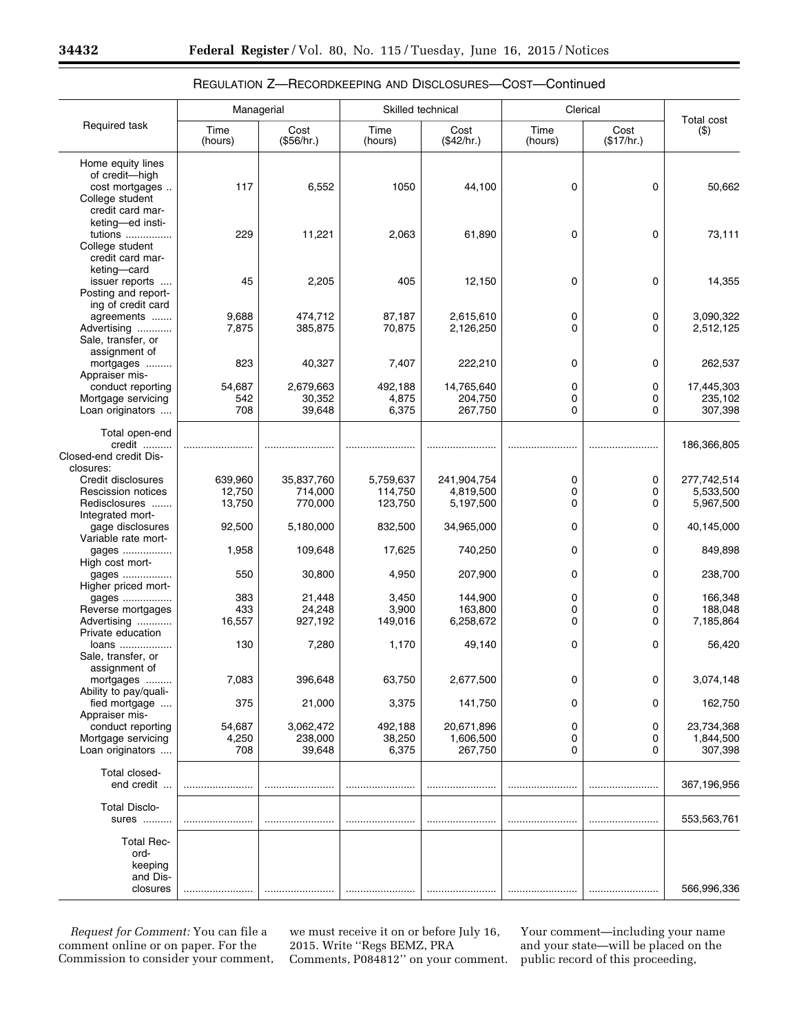|                                            | Managerial       |                    | Skilled technical  |                        | Clerical        |                    | <b>Total cost</b>      |
|--------------------------------------------|------------------|--------------------|--------------------|------------------------|-----------------|--------------------|------------------------|
| Required task                              | Time<br>(hours)  | Cost<br>(\$56/hr.) | Time<br>(hours)    | Cost<br>(\$42/hr.)     | Time<br>(hours) | Cost<br>(\$17/hr.) | $($ \$)                |
| Home equity lines                          |                  |                    |                    |                        |                 |                    |                        |
| of credit-high                             |                  |                    |                    |                        |                 |                    |                        |
| cost mortgages<br>College student          | 117              | 6,552              | 1050               | 44,100                 | 0               | $\mathbf 0$        | 50,662                 |
| credit card mar-                           |                  |                    |                    |                        |                 |                    |                        |
| keting-ed insti-                           |                  |                    |                    |                        |                 |                    |                        |
| tutions                                    | 229              | 11,221             | 2,063              | 61,890                 | 0               | 0                  | 73,111                 |
| College student                            |                  |                    |                    |                        |                 |                    |                        |
| credit card mar-                           |                  |                    |                    |                        |                 |                    |                        |
| keting-card                                |                  |                    |                    |                        |                 |                    |                        |
| issuer reports<br>Posting and report-      | 45               | 2,205              | 405                | 12,150                 | 0               | 0                  | 14,355                 |
| ing of credit card                         |                  |                    |                    |                        |                 |                    |                        |
| agreements                                 | 9,688            | 474,712            | 87,187             | 2,615,610              | 0               | 0                  | 3,090,322              |
| Advertising                                | 7,875            | 385,875            | 70,875             | 2,126,250              | 0               | 0                  | 2,512,125              |
| Sale, transfer, or                         |                  |                    |                    |                        |                 |                    |                        |
| assignment of                              |                  |                    |                    |                        |                 |                    |                        |
| mortgages                                  | 823              | 40,327             | 7,407              | 222,210                | 0               | 0                  | 262,537                |
| Appraiser mis-                             |                  |                    |                    |                        |                 |                    |                        |
| conduct reporting<br>Mortgage servicing    | 54,687           | 2,679,663          | 492,188            | 14,765,640             | 0               | 0                  | 17,445,303<br>235,102  |
| Loan originators                           | 542<br>708       | 30,352<br>39,648   | 4,875<br>6,375     | 204,750<br>267,750     | 0<br>0          | 0<br>0             | 307,398                |
|                                            |                  |                    |                    |                        |                 |                    |                        |
| Total open-end                             |                  |                    |                    |                        |                 |                    |                        |
| credit                                     |                  |                    |                    |                        |                 |                    | 186,366,805            |
| Closed-end credit Dis-                     |                  |                    |                    |                        |                 |                    |                        |
| closures:                                  |                  |                    |                    |                        |                 |                    |                        |
| Credit disclosures                         | 639,960          | 35,837,760         | 5,759,637          | 241,904,754            | 0               | 0                  | 277,742,514            |
| <b>Rescission notices</b><br>Redisclosures | 12,750<br>13,750 | 714,000<br>770,000 | 114,750<br>123,750 | 4,819,500<br>5,197,500 | 0<br>0          | 0<br>0             | 5,533,500<br>5,967,500 |
| Integrated mort-                           |                  |                    |                    |                        |                 |                    |                        |
| gage disclosures                           | 92,500           | 5,180,000          | 832,500            | 34,965,000             | 0               | 0                  | 40,145,000             |
| Variable rate mort-                        |                  |                    |                    |                        |                 |                    |                        |
| gages                                      | 1,958            | 109,648            | 17,625             | 740,250                | 0               | 0                  | 849,898                |
| High cost mort-                            |                  |                    |                    |                        |                 |                    |                        |
| gages                                      | 550              | 30,800             | 4,950              | 207,900                | 0               | 0                  | 238,700                |
| Higher priced mort-                        |                  |                    |                    |                        |                 |                    |                        |
| gages<br>Reverse mortgages                 | 383<br>433       | 21,448<br>24,248   | 3,450<br>3,900     | 144,900<br>163,800     | 0<br>0          | 0<br>0             | 166,348<br>188.048     |
| Advertising                                | 16,557           | 927,192            | 149,016            | 6,258,672              | 0               | 0                  | 7,185,864              |
| Private education                          |                  |                    |                    |                        |                 |                    |                        |
| loans                                      | 130              | 7,280              | 1,170              | 49,140                 | 0               | 0                  | 56,420                 |
| Sale, transfer, or                         |                  |                    |                    |                        |                 |                    |                        |
| assignment of                              |                  |                    |                    |                        |                 |                    |                        |
| mortgages                                  | 7,083            | 396,648            | 63,750             | 2,677,500              | 0               | 0                  | 3,074,148              |
| Ability to pay/quali-                      |                  |                    |                    |                        |                 |                    |                        |
| fied mortgage<br>Appraiser mis-            | 375              | 21,000             | 3,375              | 141,750                | 0               | 0                  | 162,750                |
| conduct reporting                          | 54,687           | 3,062,472          | 492,188            | 20,671,896             | 0               | 0                  | 23,734,368             |
| Mortgage servicing                         | 4,250            | 238,000            | 38,250             | 1,606,500              | 0               | 0                  | 1,844,500              |
| Loan originators                           | 708              | 39,648             | 6,375              | 267,750                | 0               | 0                  | 307,398                |
|                                            |                  |                    |                    |                        |                 |                    |                        |
| Total closed-                              |                  |                    |                    |                        |                 |                    |                        |
| end credit                                 |                  |                    |                    |                        |                 |                    | 367,196,956            |
| <b>Total Disclo-</b>                       |                  |                    |                    |                        |                 |                    |                        |
| sures                                      |                  |                    |                    |                        |                 |                    | 553,563,761            |
|                                            |                  |                    |                    |                        |                 |                    |                        |
| <b>Total Rec-</b>                          |                  |                    |                    |                        |                 |                    |                        |
| ord-                                       |                  |                    |                    |                        |                 |                    |                        |
| keeping                                    |                  |                    |                    |                        |                 |                    |                        |
| and Dis-                                   |                  |                    |                    |                        |                 |                    |                        |
| closures                                   |                  |                    |                    |                        |                 |                    | 566,996,336            |

# REGULATION Z—RECORDKEEPING AND DISCLOSURES—COST—Continued

*Request for Comment:* You can file a comment online or on paper. For the Commission to consider your comment,

we must receive it on or before July 16, 2015. Write ''Regs BEMZ, PRA Comments, P084812'' on your comment.

Your comment—including your name and your state—will be placed on the public record of this proceeding,